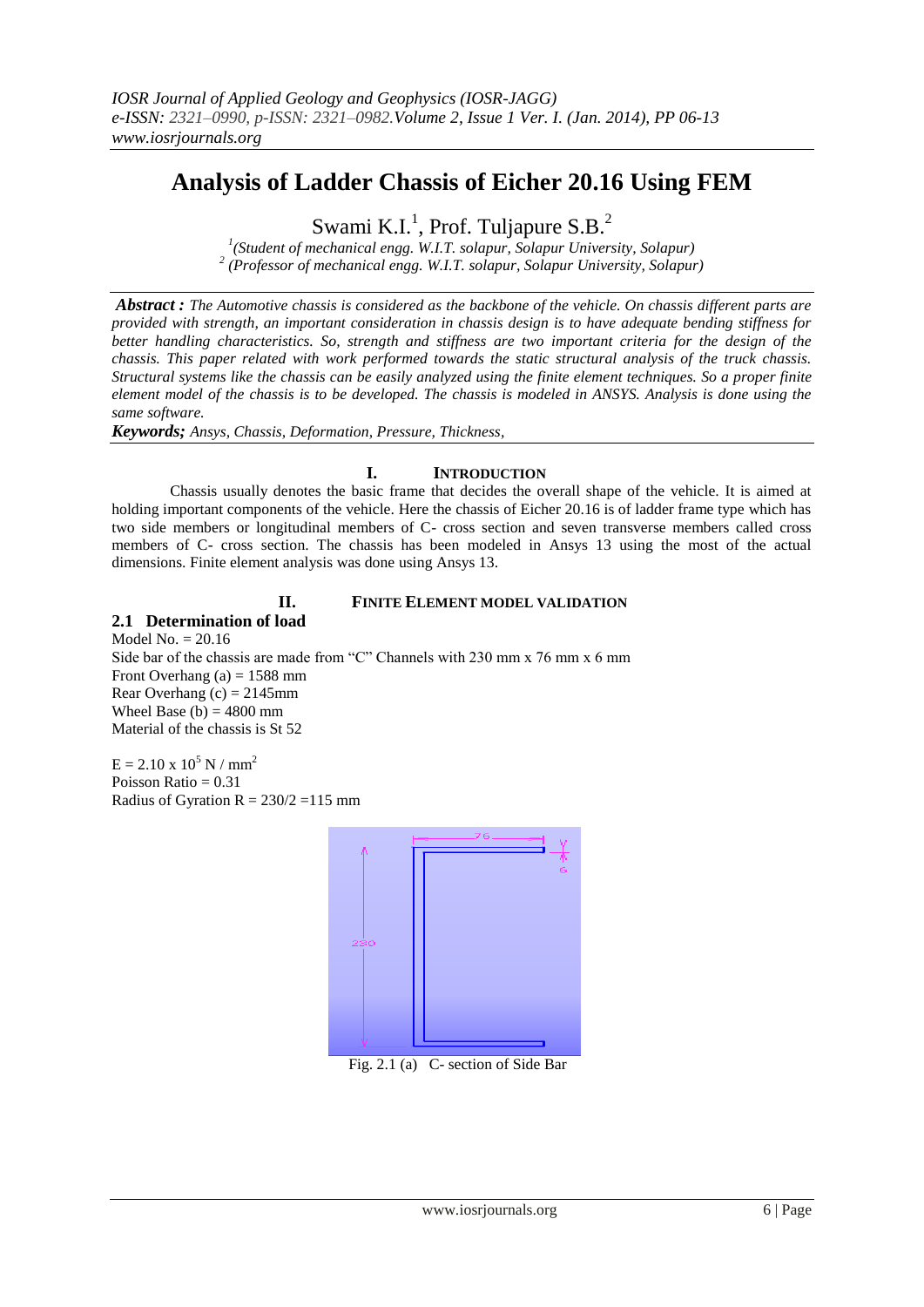# **Analysis of Ladder Chassis of Eicher 20.16 Using FEM**

Swami K.I.<sup>1</sup>, Prof. Tuljapure S.B.<sup>2</sup>

*1 (Student of mechanical engg. W.I.T. solapur, Solapur University, Solapur) 2 (Professor of mechanical engg. W.I.T. solapur, Solapur University, Solapur)*

*Abstract : The Automotive chassis is considered as the backbone of the vehicle. On chassis different parts are provided with strength, an important consideration in chassis design is to have adequate bending stiffness for better handling characteristics. So, strength and stiffness are two important criteria for the design of the chassis. This paper related with work performed towards the static structural analysis of the truck chassis. Structural systems like the chassis can be easily analyzed using the finite element techniques. So a proper finite element model of the chassis is to be developed. The chassis is modeled in ANSYS. Analysis is done using the same software.*

*Keywords; Ansys, Chassis, Deformation, Pressure, Thickness,*

# **I. INTRODUCTION**

 Chassis usually denotes the basic frame that decides the overall shape of the vehicle. It is aimed at holding important components of the vehicle. Here the chassis of Eicher 20.16 is of ladder frame type which has two side members or longitudinal members of C- cross section and seven transverse members called cross members of C- cross section. The chassis has been modeled in Ansys 13 using the most of the actual dimensions. Finite element analysis was done using Ansys 13.

### **II. FINITE ELEMENT MODEL VALIDATION**

**2.1 Determination of load** Model No.  $= 20.16$ Side bar of the chassis are made from "C" Channels with 230 mm x 76 mm x 6 mm Front Overhang (a)  $= 1588$  mm Rear Overhang  $(c) = 2145$ mm Wheel Base (b)  $= 4800$  mm Material of the chassis is St 52

 $E = 2.10 \times 10^5$  N / mm<sup>2</sup> Poisson Ratio = 0.31 Radius of Gyration  $R = 230/2 = 115$  mm



Fig. 2.1 (a) C- section of Side Bar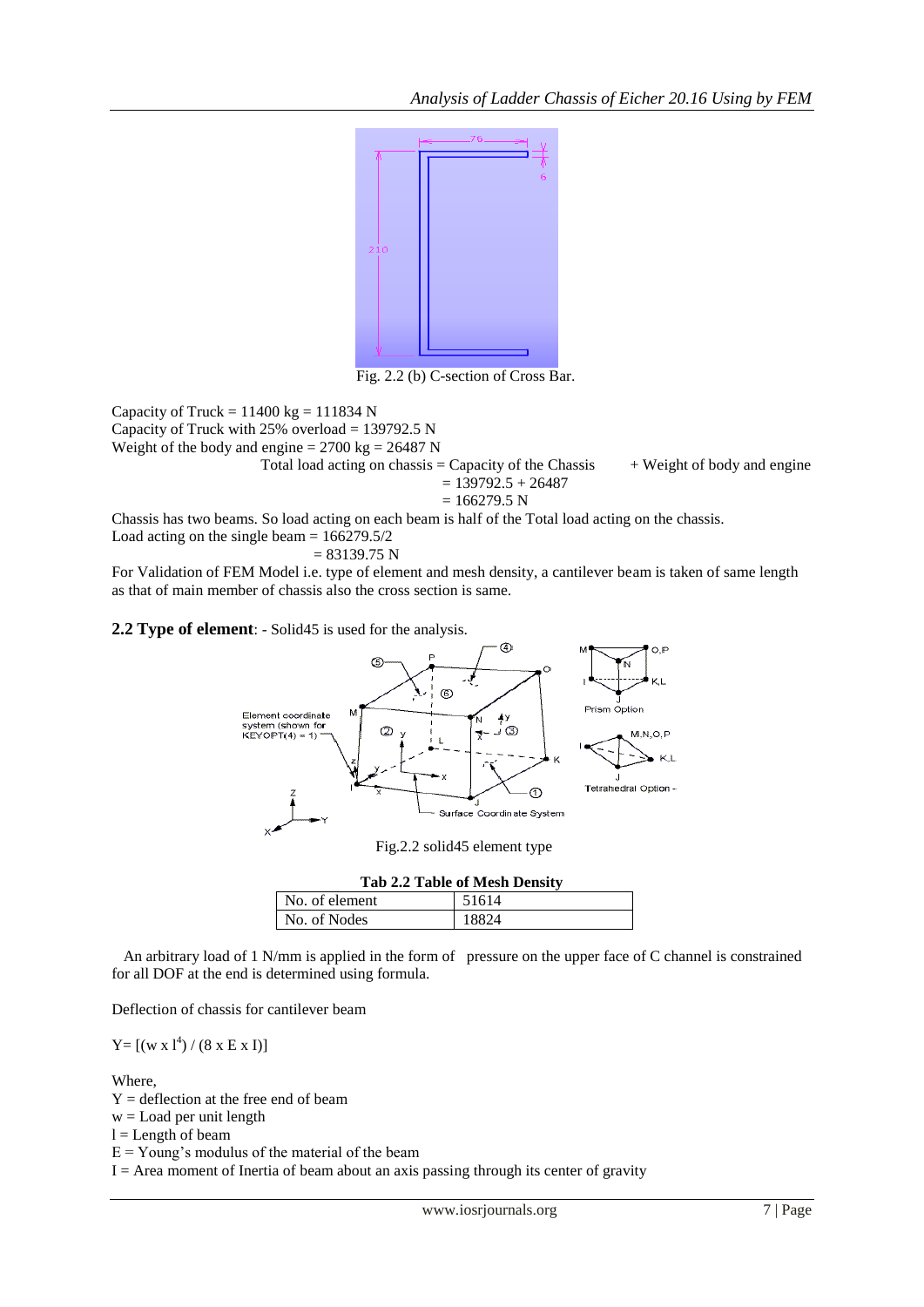

Fig. 2.2 (b) C-section of Cross Bar.

Capacity of Truck =  $11400$  kg =  $111834$  N Capacity of Truck with  $25\%$  overload = 139792.5 N Weight of the body and engine  $= 2700 \text{ kg} = 26487 \text{ N}$ Total load acting on chassis = Capacity of the Chassis  $+$  Weight of body and engine  $= 139792.5 + 26487$  $= 166279.5 N$ 

Chassis has two beams. So load acting on each beam is half of the Total load acting on the chassis. Load acting on the single beam  $= 166279.5/2$ 

$$
= 83139.75 \text{ N}
$$

For Validation of FEM Model i.e. type of element and mesh density, a cantilever beam is taken of same length as that of main member of chassis also the cross section is same.

**2.2 Type of element**: - Solid45 is used for the analysis.



| <b>Tab 2.2 Table of Mesh Density</b> |       |  |  |  |
|--------------------------------------|-------|--|--|--|
| No. of element                       | 51614 |  |  |  |
| No. of Nodes                         | 18824 |  |  |  |

 An arbitrary load of 1 N/mm is applied in the form of pressure on the upper face of C channel is constrained for all DOF at the end is determined using formula.

Deflection of chassis for cantilever beam

 $Y = [(w x 1<sup>4</sup>) / (8 x E x I)]$ 

### Where,

 $Y =$  deflection at the free end of beam  $w =$  Load per unit length  $l =$ Length of beam

 $E = Young's$  modulus of the material of the beam

 $I =$  Area moment of Inertia of beam about an axis passing through its center of gravity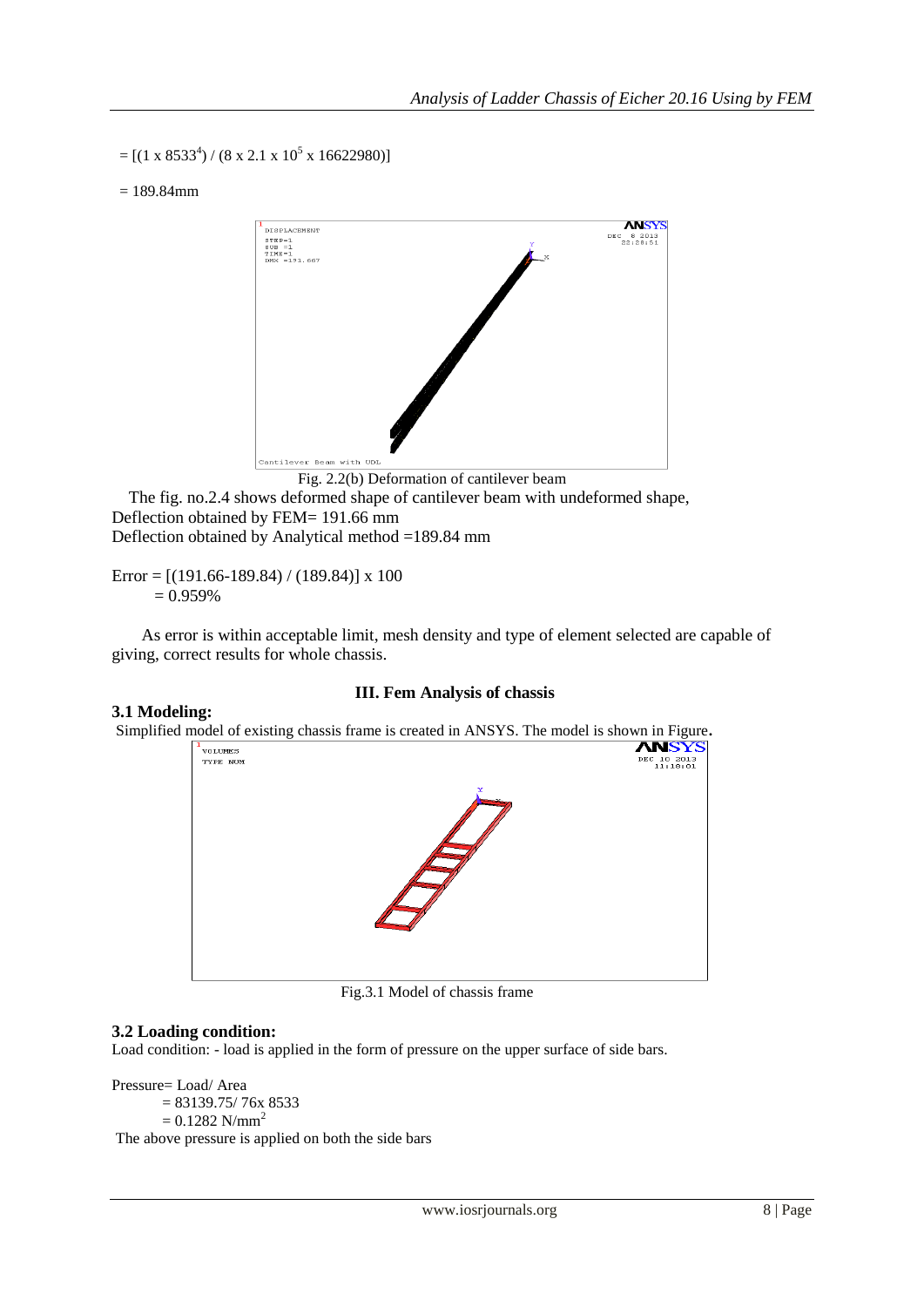$=$  [(1 x 8533<sup>4</sup>) / (8 x 2.1 x 10<sup>5</sup> x 16622980)]

 $= 189.84$ mm



### Fig. 2.2(b) Deformation of cantilever beam

 The fig. no.2.4 shows deformed shape of cantilever beam with undeformed shape, Deflection obtained by FEM= 191.66 mm Deflection obtained by Analytical method =189.84 mm

Error =  $[(191.66-189.84)/(189.84)]$  x 100  $= 0.959\%$ 

 As error is within acceptable limit, mesh density and type of element selected are capable of giving, correct results for whole chassis.

# **III. Fem Analysis of chassis**

### **3.1 Modeling:**

Simplified model of existing chassis frame is created in ANSYS. The model is shown in Figure.<br>**ANSYS** 



Fig.3.1 Model of chassis frame

# **3.2 Loading condition:**

Load condition: - load is applied in the form of pressure on the upper surface of side bars.

Pressure= Load/ Area  $= 83139.75/76x 8533$  $= 0.1282$  N/mm<sup>2</sup> The above pressure is applied on both the side bars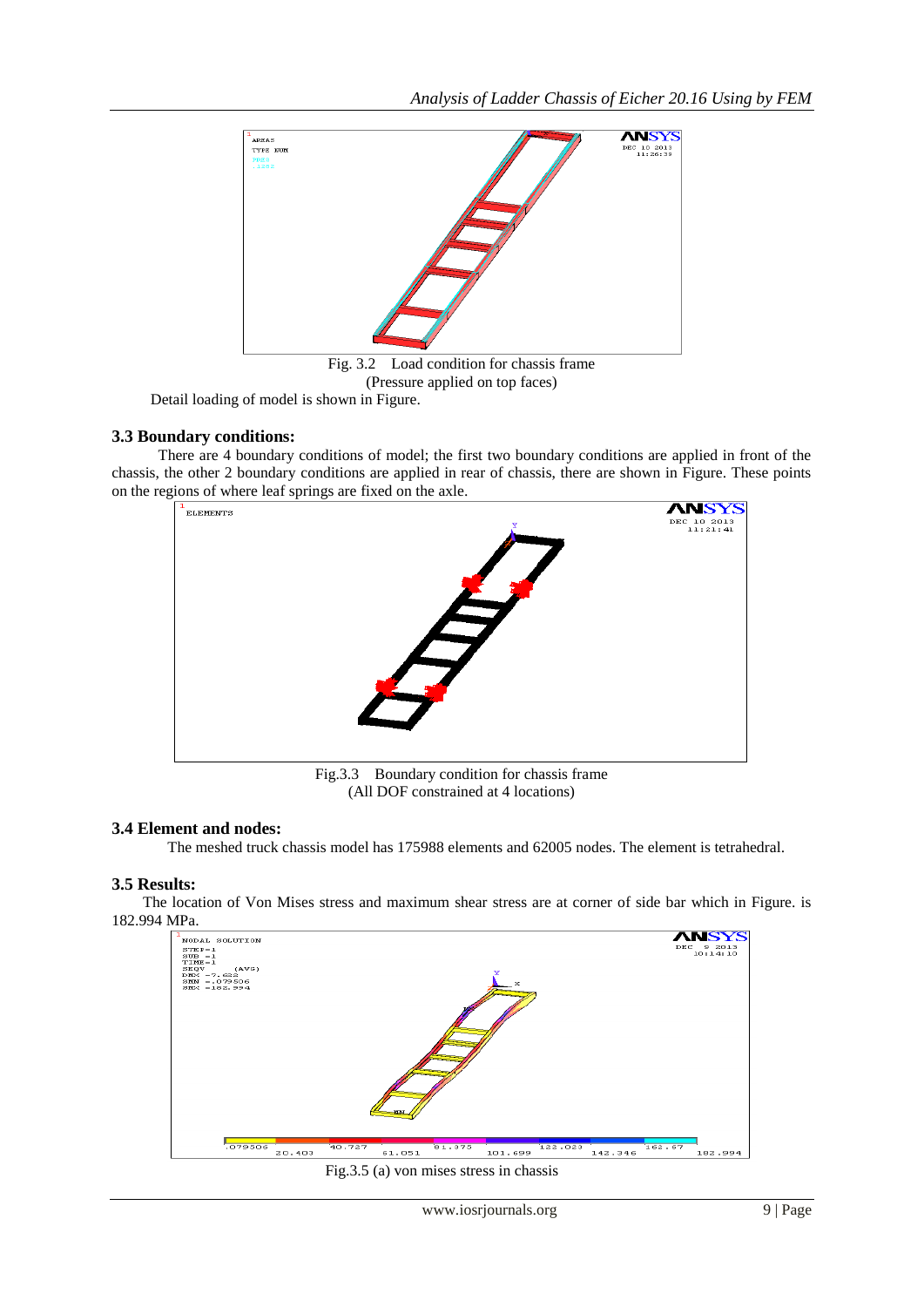

(Pressure applied on top faces)

Detail loading of model is shown in Figure.

# **3.3 Boundary conditions:**

 There are 4 boundary conditions of model; the first two boundary conditions are applied in front of the chassis, the other 2 boundary conditions are applied in rear of chassis, there are shown in Figure. These points on the regions of where leaf springs are fixed on the axle.



Fig.3.3 Boundary condition for chassis frame (All DOF constrained at 4 locations)

# **3.4 Element and nodes:**

The meshed truck chassis model has 175988 elements and 62005 nodes. The element is tetrahedral.

# **3.5 Results:**

 The location of Von Mises stress and maximum shear stress are at corner of side bar which in Figure. is 182.994 MPa.



Fig.3.5 (a) von mises stress in chassis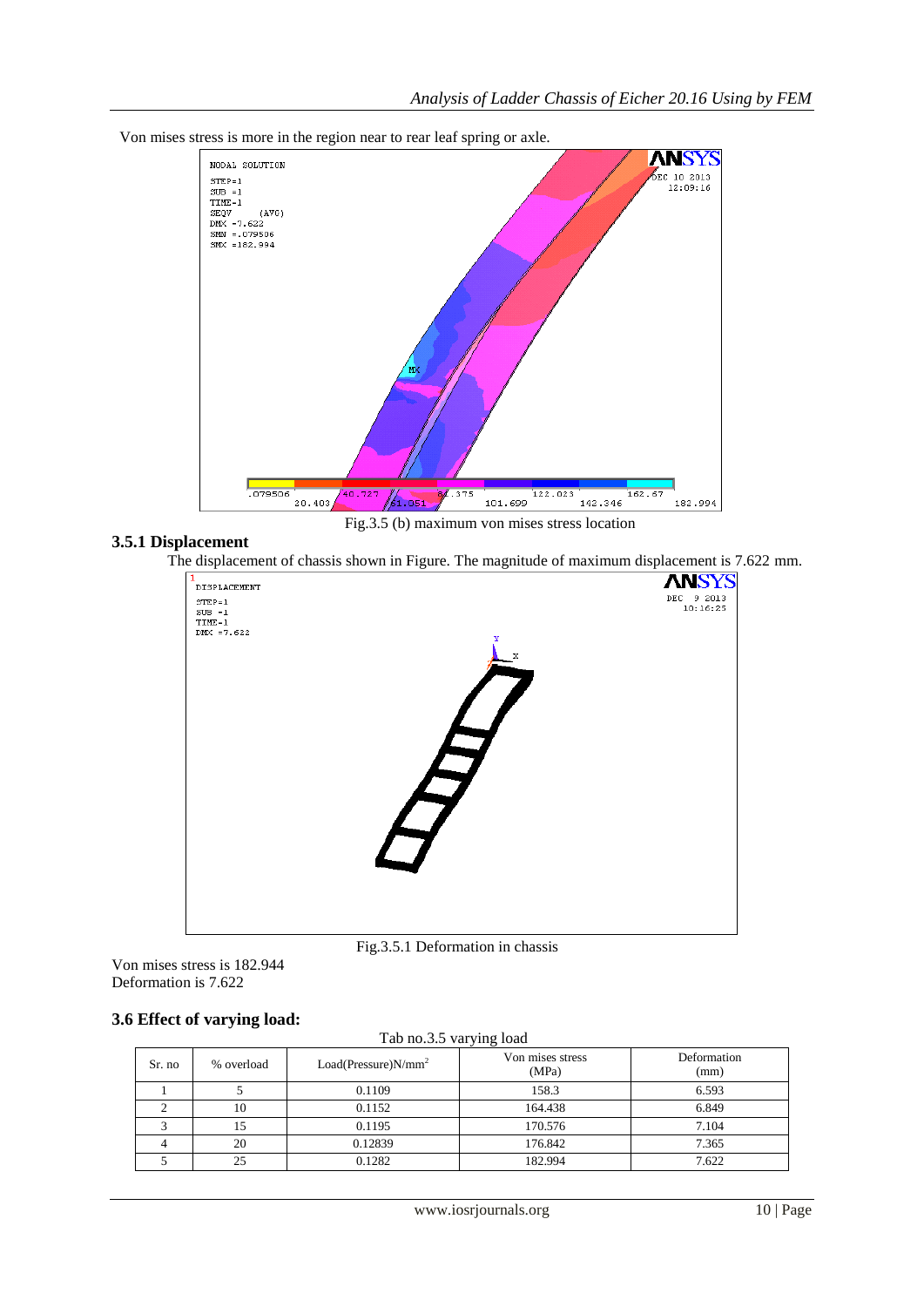

#### Von mises stress is more in the region near to rear leaf spring or axle.

Fig.3.5 (b) maximum von mises stress location

### **3.5.1 Displacement**

The displacement of chassis shown in Figure. The magnitude of maximum displacement is 7.622 mm.



Fig.3.5.1 Deformation in chassis

Von mises stress is 182.944 Deformation is 7.622

# **3.6 Effect of varying load:**

|--|

| Sr. no | % overload | $Load(Pressure)N/mm^2$ | Von mises stress<br>(MPa) | Deformation<br>(mm) |
|--------|------------|------------------------|---------------------------|---------------------|
|        |            | 0.1109                 | 158.3                     | 6.593               |
|        | 10         | 0.1152                 | 164.438                   | 6.849               |
|        | 15         | 0.1195                 | 170.576                   | 7.104               |
|        | 20         | 0.12839                | 176.842                   | 7.365               |
|        | 25         | 0.1282                 | 182.994                   | 7.622               |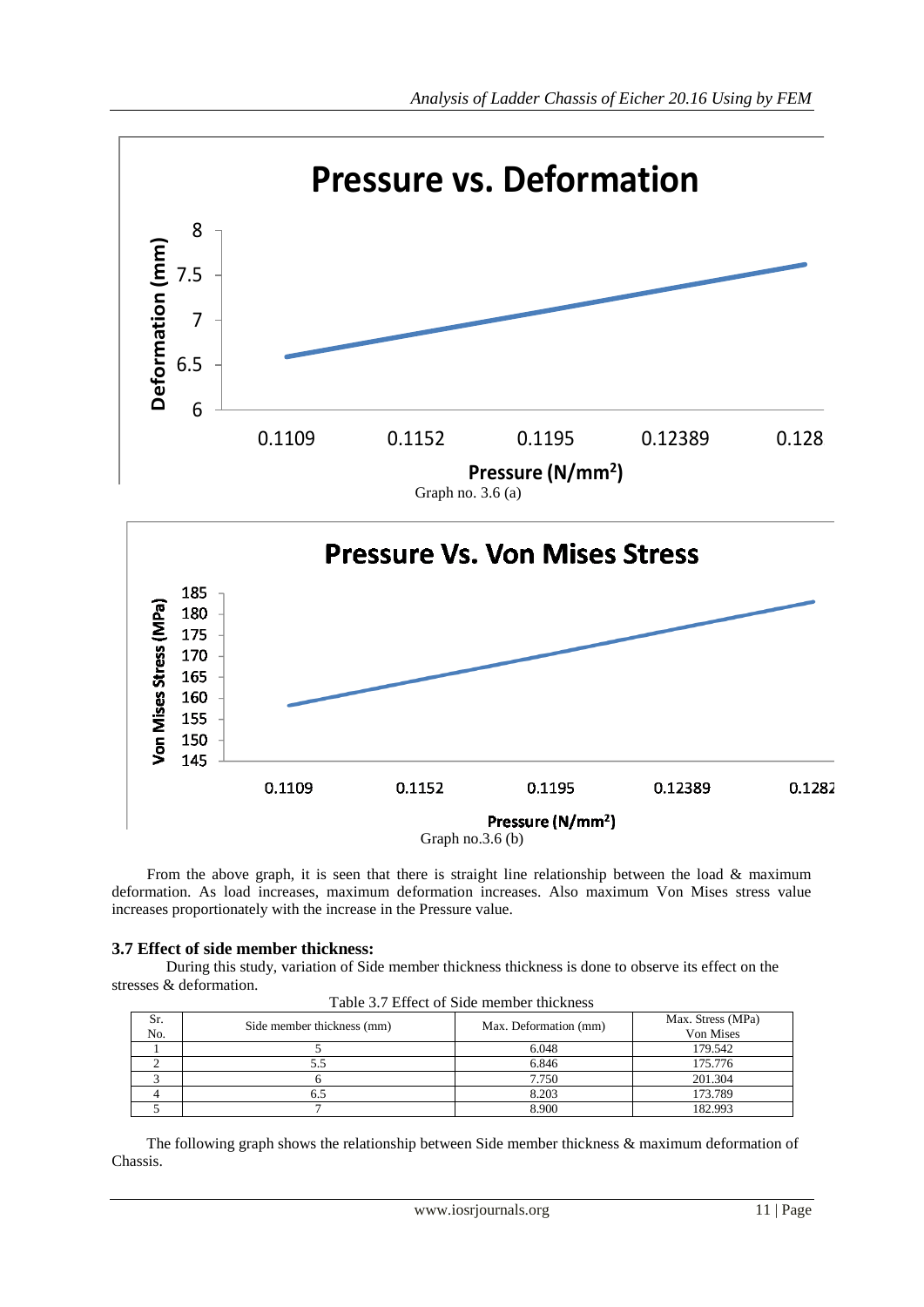

 From the above graph, it is seen that there is straight line relationship between the load & maximum deformation. As load increases, maximum deformation increases. Also maximum Von Mises stress value increases proportionately with the increase in the Pressure value.

# **3.7 Effect of side member thickness:**

 During this study, variation of Side member thickness thickness is done to observe its effect on the stresses & deformation.

| Sr.<br>No. | Side member thickness (mm) | Max. Deformation (mm) | Max. Stress (MPa)<br>Von Mises |
|------------|----------------------------|-----------------------|--------------------------------|
|            |                            | 6.048                 | 179.542                        |
|            |                            | 6.846                 | 175.776                        |
|            |                            | 7.750                 | 201.304                        |
|            |                            | 8.203                 | 173.789                        |
|            |                            | 8.900                 | 182.993                        |

 The following graph shows the relationship between Side member thickness & maximum deformation of Chassis.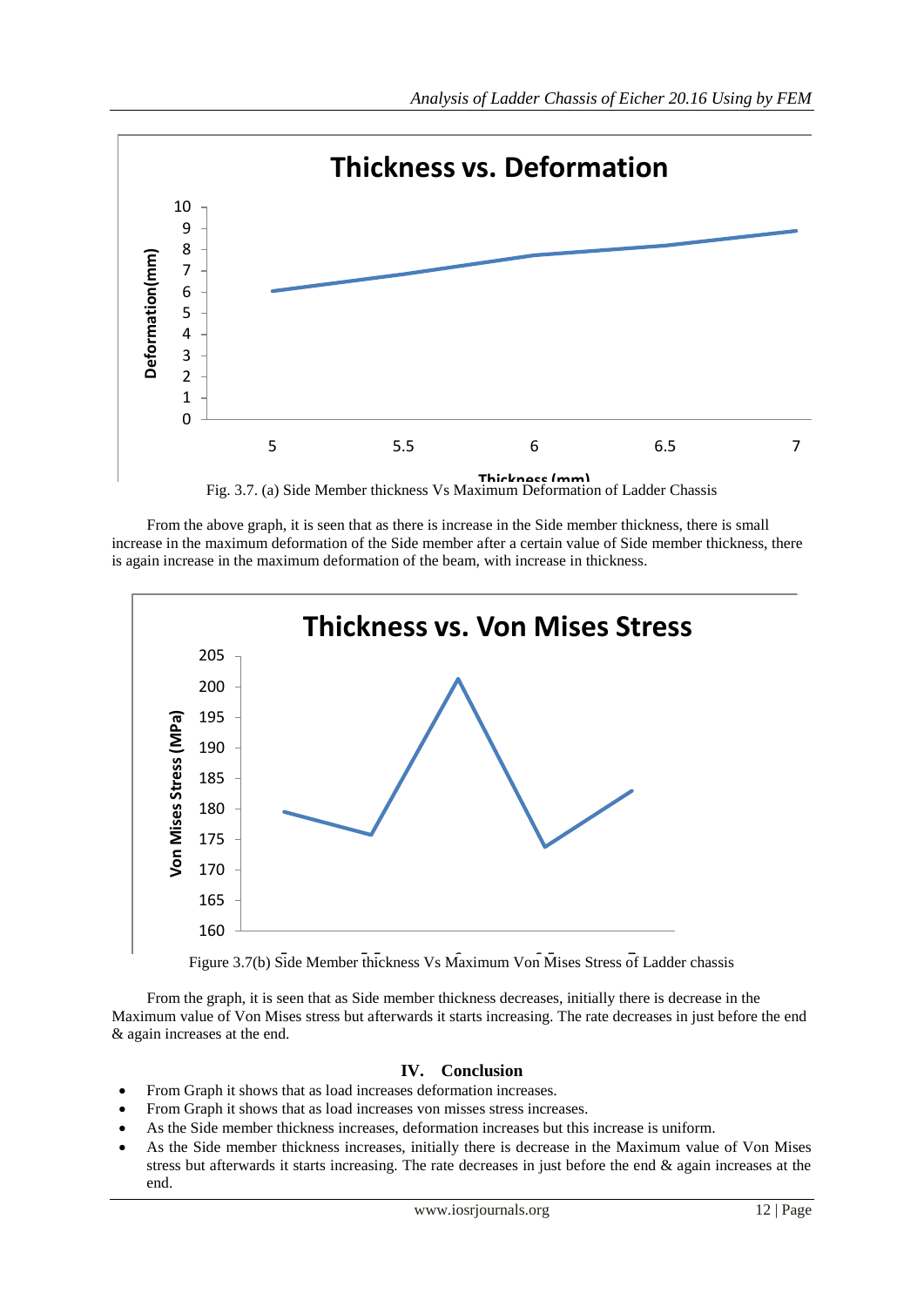

 From the above graph, it is seen that as there is increase in the Side member thickness, there is small increase in the maximum deformation of the Side member after a certain value of Side member thickness, there is again increase in the maximum deformation of the beam, with increase in thickness.



Figure 3.7(b) Side Member thickness Vs Maximum Von Mises Stress of Ladder chassis

 From the graph, it is seen that as Side member thickness decreases, initially there is decrease in the Maximum value of Von Mises stress but afterwards it starts increasing. The rate decreases in just before the end & again increases at the end.

# **IV. Conclusion**

- From Graph it shows that as load increases deformation increases.
- From Graph it shows that as load increases von misses stress increases.
- As the Side member thickness increases, deformation increases but this increase is uniform.
- As the Side member thickness increases, initially there is decrease in the Maximum value of Von Mises stress but afterwards it starts increasing. The rate decreases in just before the end & again increases at the end.